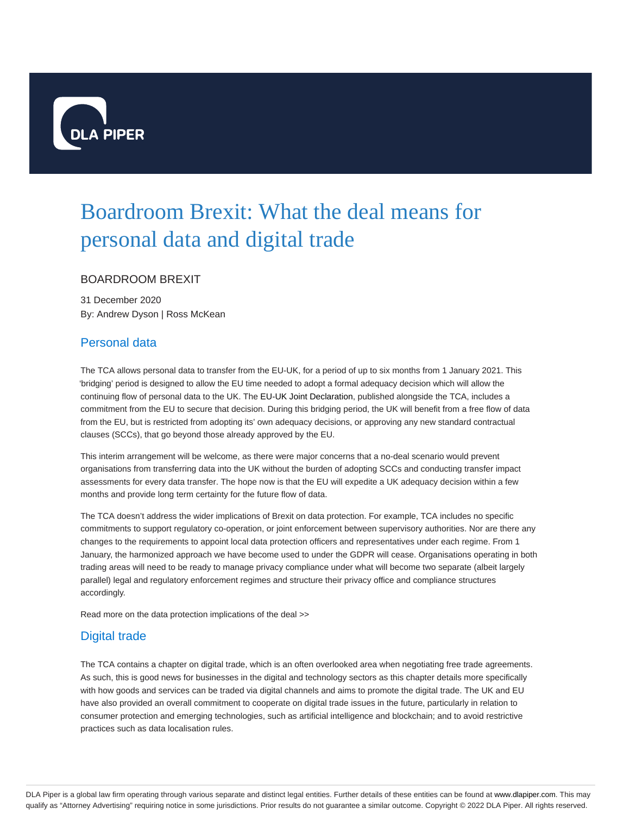

# Boardroom Brexit: What the deal means for personal data and digital trade

### BOARDROOM BREXIT

31 December 2020 By: Andrew Dyson | Ross McKean

### Personal data

The TCA allows personal data to transfer from the EU-UK, for a period of up to six months from 1 January 2021. This 'bridging' period is designed to allow the EU time needed to adopt a formal adequacy decision which will allow the continuing flow of personal data to the UK. The EU-UK Joint Declaration, published alongside the TCA, includes a commitment from the EU to secure that decision. During this bridging period, the UK will benefit from a free flow of data from the EU, but is restricted from adopting its' own adequacy decisions, or approving any new standard contractual clauses (SCCs), that go beyond those already approved by the EU.

This interim arrangement will be welcome, as there were major concerns that a no-deal scenario would prevent organisations from transferring data into the UK without the burden of adopting SCCs and conducting transfer impact assessments for every data transfer. The hope now is that the EU will expedite a UK adequacy decision within a few months and provide long term certainty for the future flow of data.

The TCA doesn't address the wider implications of Brexit on data protection. For example, TCA includes no specific commitments to support regulatory co-operation, or joint enforcement between supervisory authorities. Nor are there any changes to the requirements to appoint local data protection officers and representatives under each regime. From 1 January, the harmonized approach we have become used to under the GDPR will cease. Organisations operating in both trading areas will need to be ready to manage privacy compliance under what will become two separate (albeit largely parallel) legal and regulatory enforcement regimes and structure their privacy office and compliance structures accordingly.

Read more on the data protection implications of the deal >>

## Digital trade

The TCA contains a chapter on digital trade, which is an often overlooked area when negotiating free trade agreements. As such, this is good news for businesses in the digital and technology sectors as this chapter details more specifically with how goods and services can be traded via digital channels and aims to promote the digital trade. The UK and EU have also provided an overall commitment to cooperate on digital trade issues in the future, particularly in relation to consumer protection and emerging technologies, such as artificial intelligence and blockchain; and to avoid restrictive practices such as data localisation rules.